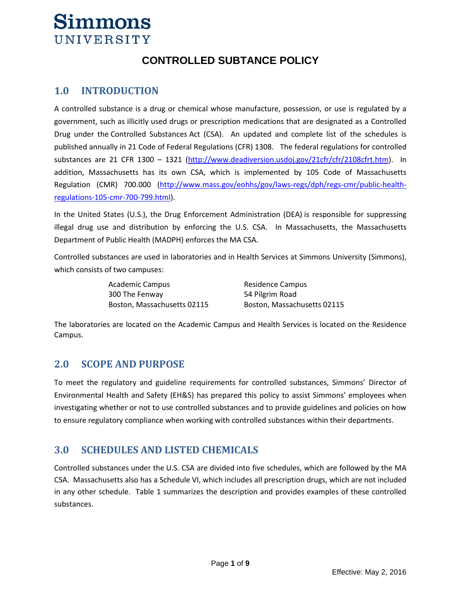## **CONTROLLED SUBTANCE POLICY**

## **1.0 INTRODUCTION**

A controlled substance is a drug or chemical whose manufacture, possession, or use is regulated by a government, such as illicitly used drugs or prescription medications that are designated as a Controlled Drug under the Controlled Substances Act (CSA). An updated and complete list of the schedules is published annually in 21 Code of Federal Regulations (CFR) 1308. The federal regulations for controlled substances are 21 CFR 1300 – 1321 [\(http://www.deadiversion.usdoj.gov/21cfr/cfr/2108cfrt.htm\)](http://www.deadiversion.usdoj.gov/21cfr/cfr/2108cfrt.htm). In addition, Massachusetts has its own CSA, which is implemented by 105 Code of Massachusetts Regulation (CMR) 700.000 [\(http://www.mass.gov/eohhs/gov/laws-regs/dph/regs-cmr/public-health](http://www.mass.gov/eohhs/gov/laws-regs/dph/regs-cmr/public-health-regulations-105-cmr-700-799.html)[regulations-105-cmr-700-799.html\)](http://www.mass.gov/eohhs/gov/laws-regs/dph/regs-cmr/public-health-regulations-105-cmr-700-799.html).

In the United States (U.S.), the Drug Enforcement Administration (DEA) is responsible for suppressing illegal drug use and distribution by enforcing the U.S. CSA. In Massachusetts, the Massachusetts Department of Public Health (MADPH) enforces the MA CSA.

Controlled substances are used in laboratories and in Health Services at Simmons University (Simmons), which consists of two campuses:

> Academic Campus **Residence Campus** 300 The Fenway 61 and 54 Pilgrim Road

Boston, Massachusetts 02115 Boston, Massachusetts 02115

The laboratories are located on the Academic Campus and Health Services is located on the Residence Campus.

## **2.0 SCOPE AND PURPOSE**

To meet the regulatory and guideline requirements for controlled substances, Simmons' Director of Environmental Health and Safety (EH&S) has prepared this policy to assist Simmons' employees when investigating whether or not to use controlled substances and to provide guidelines and policies on how to ensure regulatory compliance when working with controlled substances within their departments.

## **3.0 SCHEDULES AND LISTED CHEMICALS**

Controlled substances under the U.S. CSA are divided into five schedules, which are followed by the MA CSA. Massachusetts also has a Schedule VI, which includes all prescription drugs, which are not included in any other schedule. Table 1 summarizes the description and provides examples of these controlled substances.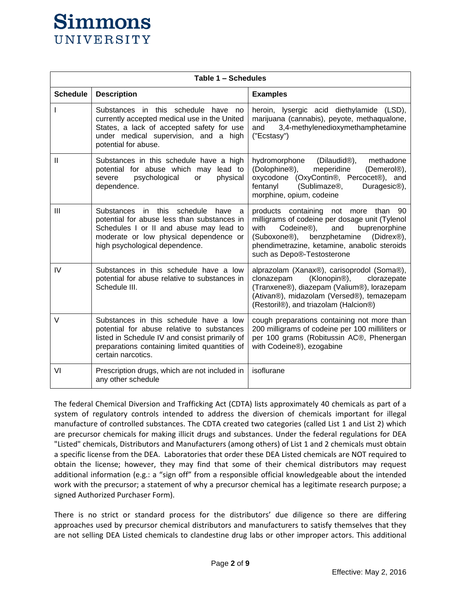| Table 1 - Schedules |                                                                                                                                                                                                               |                                                                                                                                                                                                                                                                                             |  |  |
|---------------------|---------------------------------------------------------------------------------------------------------------------------------------------------------------------------------------------------------------|---------------------------------------------------------------------------------------------------------------------------------------------------------------------------------------------------------------------------------------------------------------------------------------------|--|--|
| <b>Schedule</b>     | <b>Description</b>                                                                                                                                                                                            | <b>Examples</b>                                                                                                                                                                                                                                                                             |  |  |
|                     | Substances in this schedule have<br>no<br>currently accepted medical use in the United<br>States, a lack of accepted safety for use<br>under medical supervision, and a high<br>potential for abuse.          | heroin, lysergic acid diethylamide (LSD),<br>marijuana (cannabis), peyote, methaqualone,<br>3,4-methylenedioxymethamphetamine<br>and<br>("Ecstasy")                                                                                                                                         |  |  |
| $\mathbf{I}$        | Substances in this schedule have a high<br>potential for abuse which may lead to<br>psychological<br>severe<br>physical<br>or<br>dependence.                                                                  | methadone<br>hydromorphone<br>(Dilaudid <sup>®</sup> ),<br>(Dolophine <sup>®</sup> ),<br>meperidine<br>(Demerol®),<br>oxycodone (OxyContin®, Percocet®), and<br>(Sublimaze®,<br>fentanyl<br>Duragesic <sup>®</sup> ),<br>morphine, opium, codeine                                           |  |  |
| III                 | Substances in this schedule have<br>a<br>potential for abuse less than substances in<br>Schedules I or II and abuse may lead to<br>moderate or low physical dependence or<br>high psychological dependence.   | products containing not more than 90<br>milligrams of codeine per dosage unit (Tylenol<br>with<br>Codeine <sup>®</sup> ),<br>and<br>buprenorphine<br>benzphetamine<br>(Didrex <sup>®</sup> ),<br>(Suboxone®),<br>phendimetrazine, ketamine, anabolic steroids<br>such as Depo®-Testosterone |  |  |
| IV                  | Substances in this schedule have a low<br>potential for abuse relative to substances in<br>Schedule III.                                                                                                      | alprazolam (Xanax®), carisoprodol (Soma®),<br>clonazepam<br>(Klonopin <sup>®</sup> ),<br>clorazepate<br>(Tranxene®), diazepam (Valium®), lorazepam<br>(Ativan®), midazolam (Versed®), temazepam<br>(Restoril®), and triazolam (Halcion®)                                                    |  |  |
| $\vee$              | Substances in this schedule have a low<br>potential for abuse relative to substances<br>listed in Schedule IV and consist primarily of<br>preparations containing limited quantities of<br>certain narcotics. | cough preparations containing not more than<br>200 milligrams of codeine per 100 milliliters or<br>per 100 grams (Robitussin AC®, Phenergan<br>with Codeine®), ezogabine                                                                                                                    |  |  |
| VI                  | Prescription drugs, which are not included in<br>any other schedule                                                                                                                                           | isoflurane                                                                                                                                                                                                                                                                                  |  |  |

The federal Chemical Diversion and Trafficking Act (CDTA) lists approximately 40 chemicals as part of a system of regulatory controls intended to address the diversion of chemicals important for illegal manufacture of controlled substances. The CDTA created two categories (called List 1 and List 2) which are precursor chemicals for making illicit drugs and substances. Under the federal regulations for DEA "Listed" chemicals, Distributors and Manufacturers (among others) of List 1 and 2 chemicals must obtain a specific license from the DEA. Laboratories that order these DEA Listed chemicals are NOT required to obtain the license; however, they may find that some of their chemical distributors may request additional information (e.g.: a "sign off" from a responsible official knowledgeable about the intended work with the precursor; a statement of why a precursor chemical has a legitimate research purpose; a signed Authorized Purchaser Form).

There is no strict or standard process for the distributors' due diligence so there are differing approaches used by precursor chemical distributors and manufacturers to satisfy themselves that they are not selling DEA Listed chemicals to clandestine drug labs or other improper actors. This additional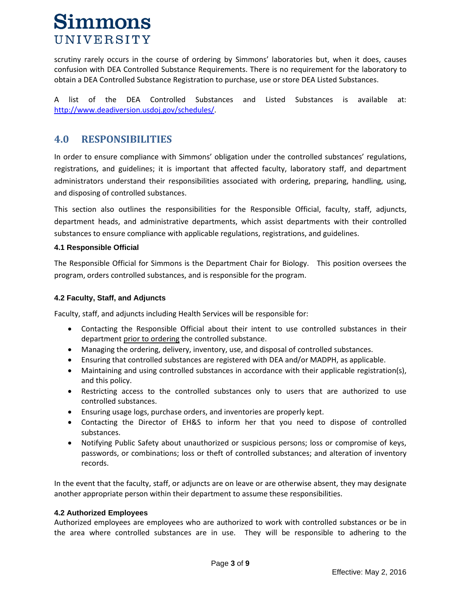scrutiny rarely occurs in the course of ordering by Simmons' laboratories but, when it does, causes confusion with DEA Controlled Substance Requirements. There is no requirement for the laboratory to obtain a DEA Controlled Substance Registration to purchase, use or store DEA Listed Substances.

A list of the DEA Controlled Substances and Listed Substances is available at: [http://www.deadiversion.usdoj.gov/schedules/.](http://www.deadiversion.usdoj.gov/schedules/)

## **4.0 RESPONSIBILITIES**

In order to ensure compliance with Simmons' obligation under the controlled substances' regulations, registrations, and guidelines; it is important that affected faculty, laboratory staff, and department administrators understand their responsibilities associated with ordering, preparing, handling, using, and disposing of controlled substances.

This section also outlines the responsibilities for the Responsible Official, faculty, staff, adjuncts, department heads, and administrative departments, which assist departments with their controlled substances to ensure compliance with applicable regulations, registrations, and guidelines.

### **4.1 Responsible Official**

The Responsible Official for Simmons is the Department Chair for Biology. This position oversees the program, orders controlled substances, and is responsible for the program.

### **4.2 Faculty, Staff, and Adjuncts**

Faculty, staff, and adjuncts including Health Services will be responsible for:

- Contacting the Responsible Official about their intent to use controlled substances in their department prior to ordering the controlled substance.
- Managing the ordering, delivery, inventory, use, and disposal of controlled substances.
- Ensuring that controlled substances are registered with DEA and/or MADPH, as applicable.
- Maintaining and using controlled substances in accordance with their applicable registration(s), and this policy.
- Restricting access to the controlled substances only to users that are authorized to use controlled substances.
- Ensuring usage logs, purchase orders, and inventories are properly kept.
- Contacting the Director of EH&S to inform her that you need to dispose of controlled substances.
- Notifying Public Safety about unauthorized or suspicious persons; loss or compromise of keys, passwords, or combinations; loss or theft of controlled substances; and alteration of inventory records.

In the event that the faculty, staff, or adjuncts are on leave or are otherwise absent, they may designate another appropriate person within their department to assume these responsibilities.

### **4.2 Authorized Employees**

Authorized employees are employees who are authorized to work with controlled substances or be in the area where controlled substances are in use. They will be responsible to adhering to the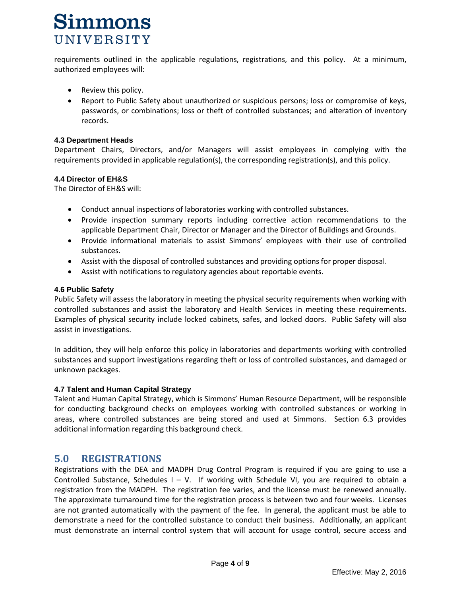requirements outlined in the applicable regulations, registrations, and this policy. At a minimum, authorized employees will:

- Review this policy.
- Report to Public Safety about unauthorized or suspicious persons; loss or compromise of keys, passwords, or combinations; loss or theft of controlled substances; and alteration of inventory records.

#### **4.3 Department Heads**

Department Chairs, Directors, and/or Managers will assist employees in complying with the requirements provided in applicable regulation(s), the corresponding registration(s), and this policy.

### **4.4 Director of EH&S**

The Director of EH&S will:

- Conduct annual inspections of laboratories working with controlled substances.
- Provide inspection summary reports including corrective action recommendations to the applicable Department Chair, Director or Manager and the Director of Buildings and Grounds.
- Provide informational materials to assist Simmons' employees with their use of controlled substances.
- Assist with the disposal of controlled substances and providing options for proper disposal.
- Assist with notifications to regulatory agencies about reportable events.

#### **4.6 Public Safety**

Public Safety will assess the laboratory in meeting the physical security requirements when working with controlled substances and assist the laboratory and Health Services in meeting these requirements. Examples of physical security include locked cabinets, safes, and locked doors. Public Safety will also assist in investigations.

In addition, they will help enforce this policy in laboratories and departments working with controlled substances and support investigations regarding theft or loss of controlled substances, and damaged or unknown packages.

#### **4.7 Talent and Human Capital Strategy**

Talent and Human Capital Strategy, which is Simmons' Human Resource Department, will be responsible for conducting background checks on employees working with controlled substances or working in areas, where controlled substances are being stored and used at Simmons. Section 6.3 provides additional information regarding this background check.

## **5.0 REGISTRATIONS**

Registrations with the DEA and MADPH Drug Control Program is required if you are going to use a Controlled Substance, Schedules  $I - V$ . If working with Schedule VI, you are required to obtain a registration from the MADPH. The registration fee varies, and the license must be renewed annually. The approximate turnaround time for the registration process is between two and four weeks. Licenses are not granted automatically with the payment of the fee. In general, the applicant must be able to demonstrate a need for the controlled substance to conduct their business. Additionally, an applicant must demonstrate an internal control system that will account for usage control, secure access and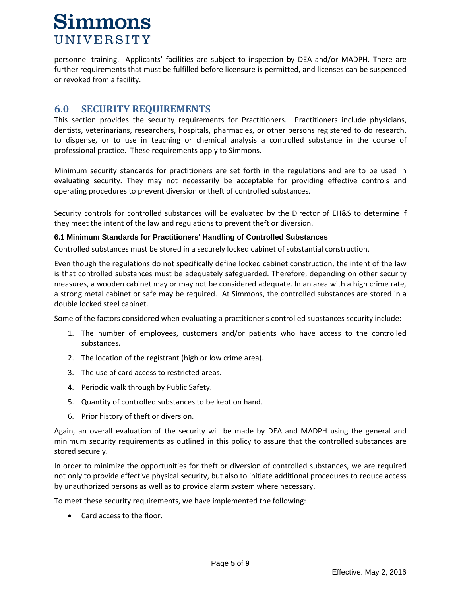personnel training. Applicants' facilities are subject to inspection by DEA and/or MADPH. There are further requirements that must be fulfilled before licensure is permitted, and licenses can be suspended or revoked from a facility.

## **6.0 SECURITY REQUIREMENTS**

This section provides the security requirements for Practitioners. Practitioners include physicians, dentists, veterinarians, researchers, hospitals, pharmacies, or other persons registered to do research, to dispense, or to use in teaching or chemical analysis a controlled substance in the course of professional practice. These requirements apply to Simmons.

Minimum security standards for practitioners are set forth in the regulations and are to be used in evaluating security. They may not necessarily be acceptable for providing effective controls and operating procedures to prevent diversion or theft of controlled substances.

Security controls for controlled substances will be evaluated by the Director of EH&S to determine if they meet the intent of the law and regulations to prevent theft or diversion.

### **6.1 Minimum Standards for Practitioners' Handling of Controlled Substances**

Controlled substances must be stored in a securely locked cabinet of substantial construction.

Even though the regulations do not specifically define locked cabinet construction, the intent of the law is that controlled substances must be adequately safeguarded. Therefore, depending on other security measures, a wooden cabinet may or may not be considered adequate. In an area with a high crime rate, a strong metal cabinet or safe may be required. At Simmons, the controlled substances are stored in a double locked steel cabinet.

Some of the factors considered when evaluating a practitioner's controlled substances security include:

- 1. The number of employees, customers and/or patients who have access to the controlled substances.
- 2. The location of the registrant (high or low crime area).
- 3. The use of card access to restricted areas.
- 4. Periodic walk through by Public Safety.
- 5. Quantity of controlled substances to be kept on hand.
- 6. Prior history of theft or diversion.

Again, an overall evaluation of the security will be made by DEA and MADPH using the general and minimum security requirements as outlined in this policy to assure that the controlled substances are stored securely.

In order to minimize the opportunities for theft or diversion of controlled substances, we are required not only to provide effective physical security, but also to initiate additional procedures to reduce access by unauthorized persons as well as to provide alarm system where necessary.

To meet these security requirements, we have implemented the following:

• Card access to the floor.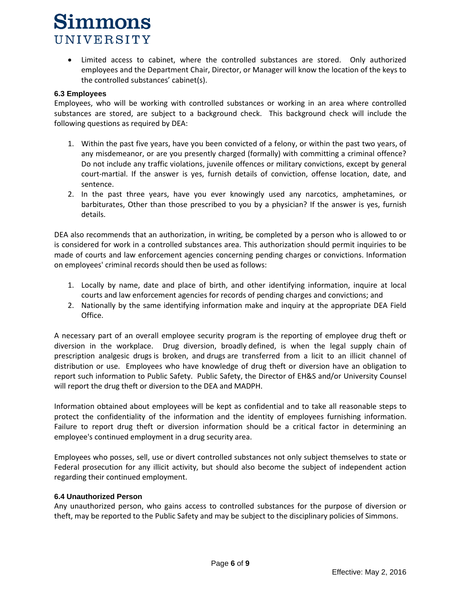• Limited access to cabinet, where the controlled substances are stored. Only authorized employees and the Department Chair, Director, or Manager will know the location of the keys to the controlled substances' cabinet(s).

#### **6.3 Employees**

Employees, who will be working with controlled substances or working in an area where controlled substances are stored, are subject to a background check. This background check will include the following questions as required by DEA:

- 1. Within the past five years, have you been convicted of a felony, or within the past two years, of any misdemeanor, or are you presently charged (formally) with committing a criminal offence? Do not include any traffic violations, juvenile offences or military convictions, except by general court-martial. If the answer is yes, furnish details of conviction, offense location, date, and sentence.
- 2. In the past three years, have you ever knowingly used any narcotics, amphetamines, or barbiturates, Other than those prescribed to you by a physician? If the answer is yes, furnish details.

DEA also recommends that an authorization, in writing, be completed by a person who is allowed to or is considered for work in a controlled substances area. This authorization should permit inquiries to be made of courts and law enforcement agencies concerning pending charges or convictions. Information on employees' criminal records should then be used as follows:

- 1. Locally by name, date and place of birth, and other identifying information, inquire at local courts and law enforcement agencies for records of pending charges and convictions; and
- 2. Nationally by the same identifying information make and inquiry at the appropriate DEA Field Office.

A necessary part of an overall employee security program is the reporting of employee drug theft or diversion in the workplace. Drug diversion, broadly defined, is when the legal supply chain of prescription analgesic drugs is broken, and drugs are transferred from a licit to an illicit channel of distribution or use. Employees who have knowledge of drug theft or diversion have an obligation to report such information to Public Safety. Public Safety, the Director of EH&S and/or University Counsel will report the drug theft or diversion to the DEA and MADPH.

Information obtained about employees will be kept as confidential and to take all reasonable steps to protect the confidentiality of the information and the identity of employees furnishing information. Failure to report drug theft or diversion information should be a critical factor in determining an employee's continued employment in a drug security area.

Employees who posses, sell, use or divert controlled substances not only subject themselves to state or Federal prosecution for any illicit activity, but should also become the subject of independent action regarding their continued employment.

#### **6.4 Unauthorized Person**

Any unauthorized person, who gains access to controlled substances for the purpose of diversion or theft, may be reported to the Public Safety and may be subject to the disciplinary policies of Simmons.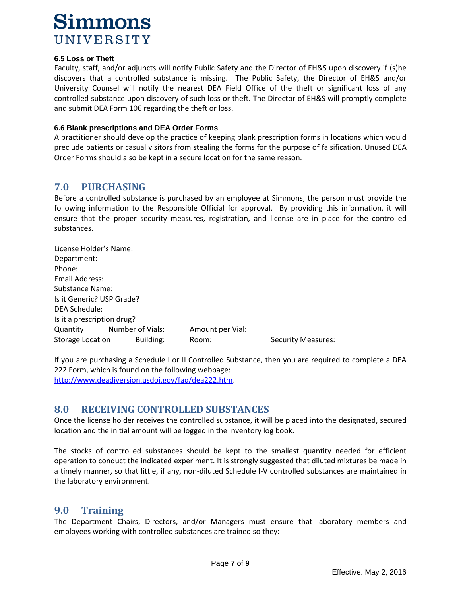

#### **6.5 Loss or Theft**

Faculty, staff, and/or adjuncts will notify Public Safety and the Director of EH&S upon discovery if (s)he discovers that a controlled substance is missing. The Public Safety, the Director of EH&S and/or University Counsel will notify the nearest DEA Field Office of the theft or significant loss of any controlled substance upon discovery of such loss or theft. The Director of EH&S will promptly complete and submit DEA Form 106 regarding the theft or loss.

#### **6.6 Blank prescriptions and DEA Order Forms**

A practitioner should develop the practice of keeping blank prescription forms in locations which would preclude patients or casual visitors from stealing the forms for the purpose of falsification. Unused DEA Order Forms should also be kept in a secure location for the same reason.

## **7.0 PURCHASING**

Before a controlled substance is purchased by an employee at Simmons, the person must provide the following information to the Responsible Official for approval. By providing this information, it will ensure that the proper security measures, registration, and license are in place for the controlled substances.

| License Holder's Name:     |                  |                  |                    |
|----------------------------|------------------|------------------|--------------------|
| Department:                |                  |                  |                    |
| Phone:                     |                  |                  |                    |
| Email Address:             |                  |                  |                    |
| Substance Name:            |                  |                  |                    |
| Is it Generic? USP Grade?  |                  |                  |                    |
| DEA Schedule:              |                  |                  |                    |
| Is it a prescription drug? |                  |                  |                    |
| Quantity                   | Number of Vials: | Amount per Vial: |                    |
| Storage Location           | Building:        | Room:            | Security Measures: |

If you are purchasing a Schedule I or II Controlled Substance, then you are required to complete a DEA 222 Form, which is found on the following webpage: [http://www.deadiversion.usdoj.gov/faq/dea222.htm.](http://www.deadiversion.usdoj.gov/faq/dea222.htm)

## **8.0 RECEIVING CONTROLLED SUBSTANCES**

Once the license holder receives the controlled substance, it will be placed into the designated, secured location and the initial amount will be logged in the inventory log book.

The stocks of controlled substances should be kept to the smallest quantity needed for efficient operation to conduct the indicated experiment. It is strongly suggested that diluted mixtures be made in a timely manner, so that little, if any, non-diluted Schedule I-V controlled substances are maintained in the laboratory environment.

## **9.0 Training**

The Department Chairs, Directors, and/or Managers must ensure that laboratory members and employees working with controlled substances are trained so they: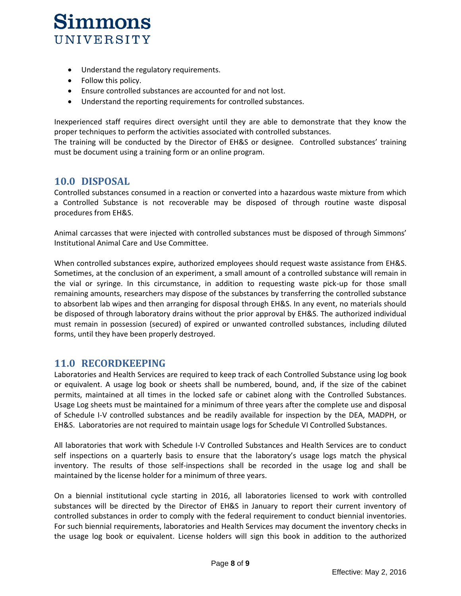- Understand the regulatory requirements.
- Follow this policy.
- Ensure controlled substances are accounted for and not lost.
- Understand the reporting requirements for controlled substances.

Inexperienced staff requires direct oversight until they are able to demonstrate that they know the proper techniques to perform the activities associated with controlled substances.

The training will be conducted by the Director of EH&S or designee. Controlled substances' training must be document using a training form or an online program.

## **10.0 DISPOSAL**

Controlled substances consumed in a reaction or converted into a hazardous waste mixture from which a Controlled Substance is not recoverable may be disposed of through routine waste disposal procedures from EH&S.

Animal carcasses that were injected with controlled substances must be disposed of through Simmons' Institutional Animal Care and Use Committee.

When controlled substances expire, authorized employees should request waste assistance from EH&S. Sometimes, at the conclusion of an experiment, a small amount of a controlled substance will remain in the vial or syringe. In this circumstance, in addition to requesting waste pick-up for those small remaining amounts, researchers may dispose of the substances by transferring the controlled substance to absorbent lab wipes and then arranging for disposal through EH&S. In any event, no materials should be disposed of through laboratory drains without the prior approval by EH&S. The authorized individual must remain in possession (secured) of expired or unwanted controlled substances, including diluted forms, until they have been properly destroyed.

## **11.0 RECORDKEEPING**

Laboratories and Health Services are required to keep track of each Controlled Substance using log book or equivalent. A usage log book or sheets shall be numbered, bound, and, if the size of the cabinet permits, maintained at all times in the locked safe or cabinet along with the Controlled Substances. Usage Log sheets must be maintained for a minimum of three years after the complete use and disposal of Schedule I-V controlled substances and be readily available for inspection by the DEA, MADPH, or EH&S. Laboratories are not required to maintain usage logs for Schedule VI Controlled Substances.

All laboratories that work with Schedule I-V Controlled Substances and Health Services are to conduct self inspections on a quarterly basis to ensure that the laboratory's usage logs match the physical inventory. The results of those self-inspections shall be recorded in the usage log and shall be maintained by the license holder for a minimum of three years.

On a biennial institutional cycle starting in 2016, all laboratories licensed to work with controlled substances will be directed by the Director of EH&S in January to report their current inventory of controlled substances in order to comply with the federal requirement to conduct biennial inventories. For such biennial requirements, laboratories and Health Services may document the inventory checks in the usage log book or equivalent. License holders will sign this book in addition to the authorized